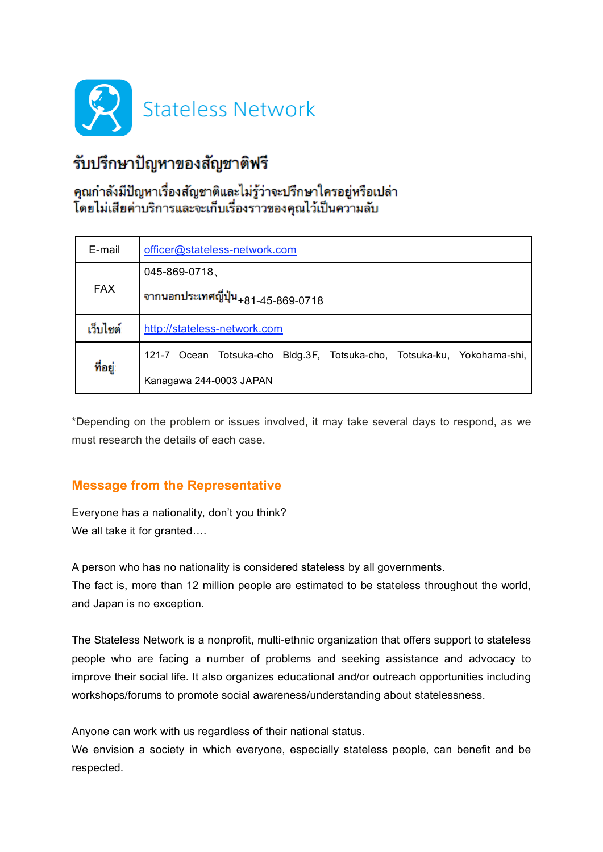

# รับปรึกษาปัญหาของสัญชาติฟรี

## คุณกำลังมีปัญหาเรื่องสัญชาติและไม่รู้ว่าจะปรึกษาใครอยู่หรือเปล่า โดยไม่เสียค่าบริการและจะเก็บเรื่องราวของคุณไว้เป็นความลับ

| E-mail     | officer@stateless-network.com                                                     |
|------------|-----------------------------------------------------------------------------------|
| <b>FAX</b> | 045-869-0718                                                                      |
|            | จากนอกประเทศญี่ปุ่น <sub>+81-45-869-0718</sub>                                    |
| เว็บไซต์   | http://stateless-network.com                                                      |
| ที่อยู่:   | Ocean Totsuka-cho<br>Bldg.3F, Totsuka-cho, Totsuka-ku, Yokohama-shi,<br>$121 - 7$ |
|            | Kanagawa 244-0003 JAPAN                                                           |

\*Depending on the problem or issues involved, it may take several days to respond, as we must research the details of each case.

## **Message from the Representative**

Everyone has a nationality, don't you think? We all take it for granted....

A person who has no nationality is considered stateless by all governments. The fact is, more than 12 million people are estimated to be stateless throughout the world, and Japan is no exception.

The Stateless Network is a nonprofit, multi-ethnic organization that offers support to stateless people who are facing a number of problems and seeking assistance and advocacy to improve their social life. It also organizes educational and/or outreach opportunities including workshops/forums to promote social awareness/understanding about statelessness.

Anyone can work with us regardless of their national status.

We envision a society in which everyone, especially stateless people, can benefit and be respected.